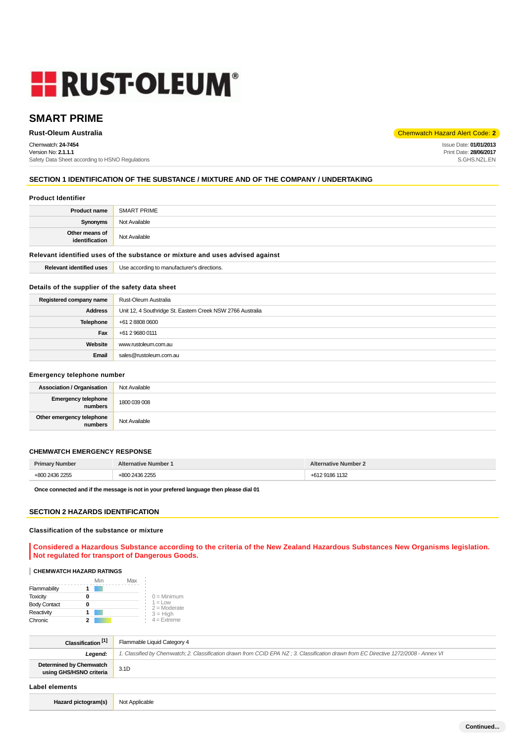# **HE RUST-OLEUM®**

# **SMART PRIME**

Chemwatch: **24-7454** Version No: **2.1.1.1** Safety Data Sheet according to HSNO Regulations

**Rust-Oleum Australia** Chemwatch Hazard Alert Code: **2** 

Issue Date: **01/01/2013** Print Date: **28/06/2017** S.GHS.NZL.EN

## **SECTION 1 IDENTIFICATION OF THE SUBSTANCE / MIXTURE AND OF THE COMPANY / UNDERTAKING**

#### **Product Identifier**

| <b>Product name</b>                                                           | SMART PRIME   |
|-------------------------------------------------------------------------------|---------------|
| Synonyms                                                                      | Not Available |
| Other means of<br>identification                                              | Not Available |
| Relevant identified uses of the substance or mixture and uses advised against |               |

**Relevant identified uses** Use according to manufacturer's directions.

## **Details of the supplier of the safety data sheet**

| Registered company name | Rust-Oleum Australia                                       |
|-------------------------|------------------------------------------------------------|
| Address                 | Unit 12, 4 Southridge St. Eastern Creek NSW 2766 Australia |
| Telephone               | +61 2 8808 0600                                            |
| Fax                     | +61 2 9680 0111                                            |
| Website                 | www.rustoleum.com.au                                       |
| Email                   | sales@rustoleum.com.au                                     |
|                         |                                                            |

#### **Emergency telephone number**

| <b>Association / Organisation</b>    | Not Available |
|--------------------------------------|---------------|
| Emergency telephone<br>numbers       | 1800 039 008  |
| Other emergency telephone<br>numbers | Not Available |

## **CHEMWATCH EMERGENCY RESPONSE**

| <b>Primary Number</b> | <b>Alternative Number 1</b> | <b>Alternative Number 2</b> |
|-----------------------|-----------------------------|-----------------------------|
| +800 2436 2255        | +800 2436 2255              | +612 9186 1132              |

**Once connected and if the message is not in your prefered language then please dial 01**

#### **SECTION 2 HAZARDS IDENTIFICATION**

#### **Classification of the substance or mixture**

**Considered a Hazardous Substance according to the criteria of the New Zealand Hazardous Substances New Organisms legislation. Not regulated for transport of Dangerous Goods.**

#### **CHEMWATCH HAZARD RATINGS**

|                     | Min | Max |                                    |
|---------------------|-----|-----|------------------------------------|
| Flammability        |     |     |                                    |
| <b>Toxicity</b>     |     |     | $0 =$ Minimum                      |
| <b>Body Contact</b> |     |     | $1 = 1$ $\Omega$<br>$2 =$ Moderate |
| Reactivity          |     |     | $3 = High$                         |
| Chronic             |     |     | $4 =$ Extreme                      |

| Classification <sup>[1]</sup>                      | Flammable Liquid Category 4                                                                                                          |  |
|----------------------------------------------------|--------------------------------------------------------------------------------------------------------------------------------------|--|
| Legend:                                            | 1. Classified by Chemwatch; 2. Classification drawn from CCID EPA NZ; 3. Classification drawn from EC Directive 1272/2008 - Annex VI |  |
| Determined by Chemwatch<br>using GHS/HSNO criteria | 3.1D                                                                                                                                 |  |
| Label elements                                     |                                                                                                                                      |  |
| Hazard pictogram(s)                                | Not Applicable                                                                                                                       |  |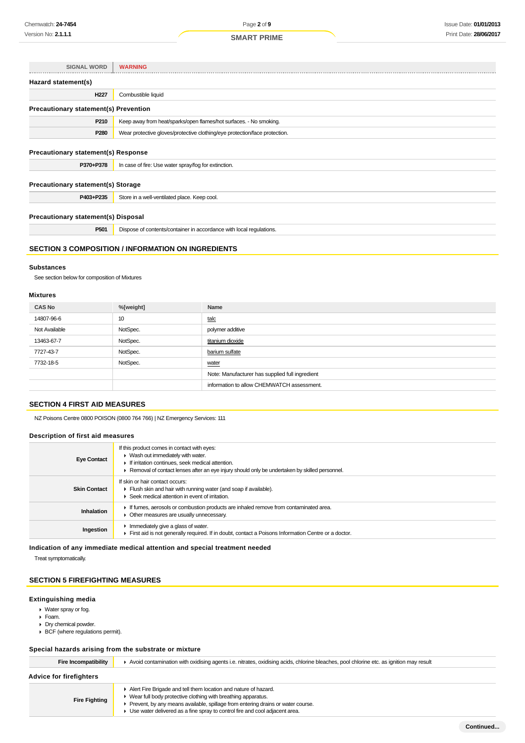| SIGNAL WORD                                  | <b>WARNING</b>                                                             |
|----------------------------------------------|----------------------------------------------------------------------------|
| Hazard statement(s)                          |                                                                            |
| H227                                         | Combustible liquid                                                         |
| <b>Precautionary statement(s) Prevention</b> |                                                                            |
| P210                                         | Keep away from heat/sparks/open flames/hot surfaces. - No smoking.         |
| P280                                         | Wear protective gloves/protective clothing/eye protection/face protection. |
| <b>Precautionary statement(s) Response</b>   |                                                                            |
| P370+P378                                    | In case of fire: Use water spray/fog for extinction.                       |
| <b>Precautionary statement(s) Storage</b>    |                                                                            |
| P403+P235                                    | Store in a well-ventilated place. Keep cool.                               |
| <b>Precautionary statement(s) Disposal</b>   |                                                                            |
| P <sub>501</sub>                             | Dispose of contents/container in accordance with local regulations.        |
|                                              |                                                                            |

## **SECTION 3 COMPOSITION / INFORMATION ON INGREDIENTS**

#### **Substances**

See section below for composition of Mixtures

## **Mixtures**

| <b>CAS No</b> | %[weight] | Name                                            |
|---------------|-----------|-------------------------------------------------|
| 14807-96-6    | 10        | talc                                            |
| Not Available | NotSpec.  | polymer additive                                |
| 13463-67-7    | NotSpec.  | titanium dioxide                                |
| 7727-43-7     | NotSpec.  | barium sulfate                                  |
| 7732-18-5     | NotSpec.  | water                                           |
|               |           | Note: Manufacturer has supplied full ingredient |
|               |           | information to allow CHEMWATCH assessment.      |

#### **SECTION 4 FIRST AID MEASURES**

NZ Poisons Centre 0800 POISON (0800 764 766) | NZ Emergency Services: 111

#### **Description of first aid measures**

| <b>Eye Contact</b>  | If this product comes in contact with eyes:<br>▶ Wash out immediately with water.<br>If irritation continues, seek medical attention.<br>► Removal of contact lenses after an eye injury should only be undertaken by skilled personnel. |
|---------------------|------------------------------------------------------------------------------------------------------------------------------------------------------------------------------------------------------------------------------------------|
| <b>Skin Contact</b> | If skin or hair contact occurs:<br>Flush skin and hair with running water (and soap if available).<br>Seek medical attention in event of irritation.                                                                                     |
| <b>Inhalation</b>   | If fumes, aerosols or combustion products are inhaled remove from contaminated area.<br>• Other measures are usually unnecessary.                                                                                                        |
| Ingestion           | $\blacktriangleright$ Immediately give a glass of water.<br>First aid is not generally required. If in doubt, contact a Poisons Information Centre or a doctor.                                                                          |

**Indication of any immediate medical attention and special treatment needed**

Treat symptomatically.

## **SECTION 5 FIREFIGHTING MEASURES**

#### **Extinguishing media**

- Water spray or fog.
- Foam.
- Dry chemical powder.
- BCF (where regulations permit).

#### **Special hazards arising from the substrate or mixture**

Fire Incompatibility **A** Avoid contamination with oxidising agents i.e. nitrates, oxidising acids, chlorine bleaches, pool chlorine etc. as ignition may result

## **Advice for firefighters**

- **Fire Fighting**
- Alert Fire Brigade and tell them location and nature of hazard. ▶ Wear full body protective clothing with breathing apparatus.
- Prevent, by any means available, spillage from entering drains or water course.
	- ► Provent, by any means are spray to control fire and cool adjacent area.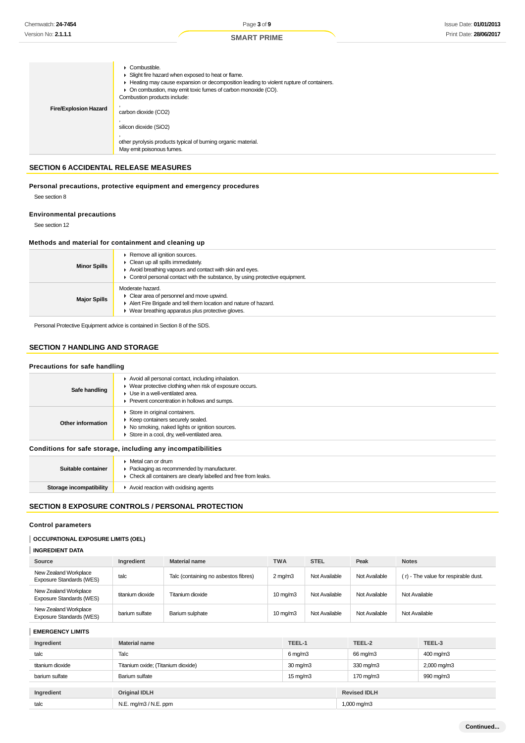|                              | $\triangleright$ Combustible.<br>Slight fire hazard when exposed to heat or flame.<br>Heating may cause expansion or decomposition leading to violent rupture of containers.<br>• On combustion, may emit toxic fumes of carbon monoxide (CO).<br>Combustion products include: |
|------------------------------|--------------------------------------------------------------------------------------------------------------------------------------------------------------------------------------------------------------------------------------------------------------------------------|
| <b>Fire/Explosion Hazard</b> | carbon dioxide (CO2)                                                                                                                                                                                                                                                           |
|                              | silicon dioxide (SiO2)<br>other pyrolysis products typical of burning organic material.<br>May emit poisonous fumes.                                                                                                                                                           |

## **SECTION 6 ACCIDENTAL RELEASE MEASURES**

**Personal precautions, protective equipment and emergency procedures** See section 8

## **Environmental precautions**

See section 12

#### **Methods and material for containment and cleaning up**

| <b>Minor Spills</b> | ▶ Remove all ignition sources.<br>$\triangleright$ Clean up all spills immediately.<br>Avoid breathing vapours and contact with skin and eyes.<br>• Control personal contact with the substance, by using protective equipment. |
|---------------------|---------------------------------------------------------------------------------------------------------------------------------------------------------------------------------------------------------------------------------|
| <b>Major Spills</b> | Moderate hazard.<br>$\triangleright$ Clear area of personnel and move upwind.<br>Alert Fire Brigade and tell them location and nature of hazard.<br>• Wear breathing apparatus plus protective gloves.                          |

Personal Protective Equipment advice is contained in Section 8 of the SDS.

## **SECTION 7 HANDLING AND STORAGE**

#### **Precautions for safe handling**

| Safe handling                                                | Avoid all personal contact, including inhalation.<br>• Wear protective clothing when risk of exposure occurs.<br>Use in a well-ventilated area.<br>Prevent concentration in hollows and sumps. |
|--------------------------------------------------------------|------------------------------------------------------------------------------------------------------------------------------------------------------------------------------------------------|
| Other information                                            | Store in original containers.<br>▶ Keep containers securely sealed.<br>▶ No smoking, naked lights or ignition sources.<br>Store in a cool, dry, well-ventilated area.                          |
| Conditions for safe storage, including any incompatibilities |                                                                                                                                                                                                |
|                                                              | • Matal can or drum                                                                                                                                                                            |

| • Packaging as recommended by manufacturer.<br>Suitable container<br>• Check all containers are clearly labelled and free from leaks. |  |
|---------------------------------------------------------------------------------------------------------------------------------------|--|
| Storage incompatibility<br>Avoid reaction with oxidising agents                                                                       |  |

## **SECTION 8 EXPOSURE CONTROLS / PERSONAL PROTECTION**

### **Control parameters**

## **OCCUPATIONAL EXPOSURE LIMITS (OEL)**

| <b>INGREDIENT DATA</b> |
|------------------------|
|------------------------|

| Source                                                   | Ingredient       | <b>Material name</b>                 | <b>TWA</b>        | <b>STEL</b>   | Peak          | <b>Notes</b>                         |
|----------------------------------------------------------|------------------|--------------------------------------|-------------------|---------------|---------------|--------------------------------------|
| New Zealand Workplace<br><b>Exposure Standards (WES)</b> | talc             | Talc (containing no asbestos fibres) | $2 \text{ mg/m}$  | Not Available | Not Available | (r) - The value for respirable dust. |
| New Zealand Workplace<br>Exposure Standards (WES)        | titanium dioxide | Titanium dioxide                     | $10 \text{ mg/m}$ | Not Available | Not Available | Not Available                        |
| New Zealand Workplace<br>Exposure Standards (WES)        | barium sulfate   | Barium sulphate                      | $10 \text{ mg/m}$ | Not Available | Not Available | Not Available                        |

#### **EMERGENCY LIMITS**

| Ingredient       | <b>Material name</b>               | TEEL-1                | TEEL-2              | TEEL-3      |
|------------------|------------------------------------|-----------------------|---------------------|-------------|
| talc             | Talc                               | $6 \,\mathrm{mq/m}$ 3 | 66 mg/m3            | 400 mg/m3   |
| titanium dioxide | Titanium oxide; (Titanium dioxide) | $30 \text{ mg/m}$     | 330 mg/m3           | 2,000 mg/m3 |
| barium sulfate   | Barium sulfate                     | $15 \,\mathrm{mq/m}$  | 170 mg/m3           | 990 mg/m3   |
|                  |                                    |                       |                     |             |
| Ingredient       | <b>Original IDLH</b>               |                       | <b>Revised IDLH</b> |             |
| talc             | $N.E.$ mg/m $3/N.E.$ ppm           |                       | 1,000 mg/m3         |             |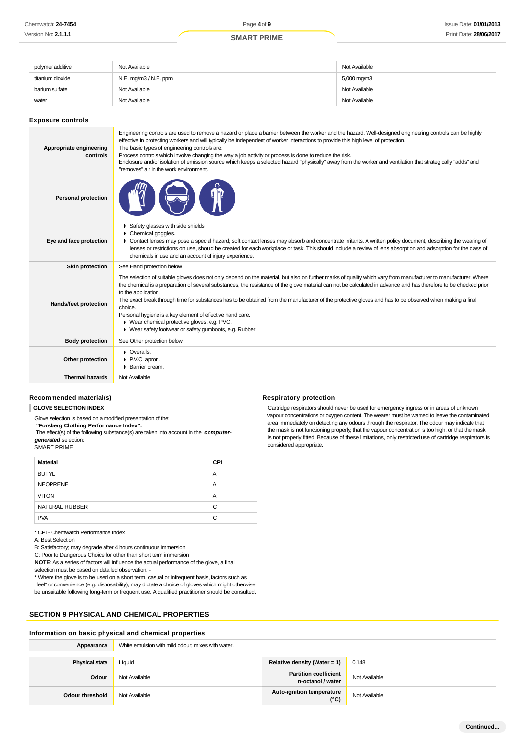## **SMART PRIME**

| polymer additive | Not Available         | Not Available |
|------------------|-----------------------|---------------|
| titanium dioxide | N.E. mg/m3 / N.E. ppm | 5,000 mg/m3   |
| barium sulfate   | Not Available         | Not Available |
| water            | Not Available         | Not Available |

#### **Exposure controls**

| Appropriate engineering<br>controls | Engineering controls are used to remove a hazard or place a barrier between the worker and the hazard. Well-designed engineering controls can be highly<br>effective in protecting workers and will typically be independent of worker interactions to provide this high level of protection.<br>The basic types of engineering controls are:<br>Process controls which involve changing the way a job activity or process is done to reduce the risk.<br>Enclosure and/or isolation of emission source which keeps a selected hazard "physically" away from the worker and ventilation that strategically "adds" and<br>"removes" air in the work environment.                                          |
|-------------------------------------|----------------------------------------------------------------------------------------------------------------------------------------------------------------------------------------------------------------------------------------------------------------------------------------------------------------------------------------------------------------------------------------------------------------------------------------------------------------------------------------------------------------------------------------------------------------------------------------------------------------------------------------------------------------------------------------------------------|
| <b>Personal protection</b>          |                                                                                                                                                                                                                                                                                                                                                                                                                                                                                                                                                                                                                                                                                                          |
| Eye and face protection             | Safety glasses with side shields<br>Chemical goggles.<br>► Contact lenses may pose a special hazard; soft contact lenses may absorb and concentrate irritants. A written policy document, describing the wearing of<br>lenses or restrictions on use, should be created for each workplace or task. This should include a review of lens absorption and adsorption for the class of<br>chemicals in use and an account of injury experience.                                                                                                                                                                                                                                                             |
| <b>Skin protection</b>              | See Hand protection below                                                                                                                                                                                                                                                                                                                                                                                                                                                                                                                                                                                                                                                                                |
| Hands/feet protection               | The selection of suitable gloves does not only depend on the material, but also on further marks of quality which vary from manufacturer to manufacturer. Where<br>the chemical is a preparation of several substances, the resistance of the glove material can not be calculated in advance and has therefore to be checked prior<br>to the application.<br>The exact break through time for substances has to be obtained from the manufacturer of the protective gloves and has to be observed when making a final<br>choice.<br>Personal hygiene is a key element of effective hand care.<br>▶ Wear chemical protective gloves, e.g. PVC.<br>▶ Wear safety footwear or safety gumboots, e.g. Rubber |
| <b>Body protection</b>              | See Other protection below                                                                                                                                                                                                                                                                                                                                                                                                                                                                                                                                                                                                                                                                               |
| Other protection                    | • Overalls.<br>▶ P.V.C. apron.<br>Barrier cream.                                                                                                                                                                                                                                                                                                                                                                                                                                                                                                                                                                                                                                                         |
| <b>Thermal hazards</b>              | Not Available                                                                                                                                                                                                                                                                                                                                                                                                                                                                                                                                                                                                                                                                                            |

**Respiratory protection**

considered appropriate.

Cartridge respirators should never be used for emergency ingress or in areas of unknown vapour concentrations or oxygen content. The wearer must be warned to leave the contaminated area immediately on detecting any odours through the respirator. The odour may indicate that the mask is not functioning properly, that the vapour concentration is too high, or that the mask is not properly fitted. Because of these limitations, only restricted use of cartridge respirators is

#### **Recommended material(s)**

#### **GLOVE SELECTION INDEX**

Glove selection is based on a modified presentation of the:  **"Forsberg Clothing Performance Index".**

 The effect(s) of the following substance(s) are taken into account in the **computergenerated** selection:

SMART PRIME

| <b>Material</b> | CPI |
|-----------------|-----|
| <b>BUTYL</b>    | A   |
| <b>NEOPRENE</b> | Α   |
| <b>VITON</b>    | A   |
| NATURAL RUBBER  | C   |
| <b>PVA</b>      | C   |

#### \* CPI - Chemwatch Performance Index

A: Best Selection

B: Satisfactory; may degrade after 4 hours continuous immersion

C: Poor to Dangerous Choice for other than short term immersion

**NOTE**: As a series of factors will influence the actual performance of the glove, a final

selection must be based on detailed observation. -

\* Where the glove is to be used on a short term, casual or infrequent basis, factors such as

"feel" or convenience (e.g. disposability), may dictate a choice of gloves which might otherwise be unsuitable following long-term or frequent use. A qualified practitioner should be consulted.

## **SECTION 9 PHYSICAL AND CHEMICAL PROPERTIES**

#### **Information on basic physical and chemical properties**

| Appearance            | White emulsion with mild odour; mixes with water. |                                                   |               |
|-----------------------|---------------------------------------------------|---------------------------------------------------|---------------|
|                       |                                                   |                                                   |               |
| <b>Physical state</b> | Liquid                                            | Relative density (Water = 1)                      | 0.148         |
| Odour                 | Not Available                                     | <b>Partition coefficient</b><br>n-octanol / water | Not Available |
| Odour threshold       | Not Available                                     | Auto-ignition temperature<br>$(^{\circ}C)$        | Not Available |

**Continued...**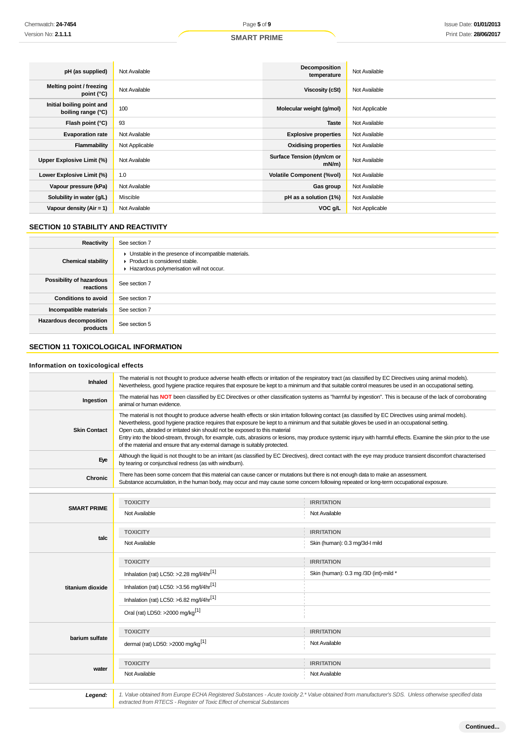| pH (as supplied)                                | Not Available  | Decomposition<br>temperature           | Not Available  |
|-------------------------------------------------|----------------|----------------------------------------|----------------|
| Melting point / freezing<br>point $(^{\circ}C)$ | Not Available  | <b>Viscosity (cSt)</b>                 | Not Available  |
| Initial boiling point and<br>boiling range (°C) | 100            | Molecular weight (g/mol)               | Not Applicable |
| Flash point (°C)                                | 93             | <b>Taste</b>                           | Not Available  |
| <b>Evaporation rate</b>                         | Not Available  | <b>Explosive properties</b>            | Not Available  |
| Flammability                                    | Not Applicable | <b>Oxidising properties</b>            | Not Available  |
| Upper Explosive Limit (%)                       | Not Available  | Surface Tension (dyn/cm or<br>$mN/m$ ) | Not Available  |
| Lower Explosive Limit (%)                       | 1.0            | <b>Volatile Component (%vol)</b>       | Not Available  |
| Vapour pressure (kPa)                           | Not Available  | Gas group                              | Not Available  |
| Solubility in water (g/L)                       | Miscible       | pH as a solution (1%)                  | Not Available  |
| Vapour density $(Air = 1)$                      | Not Available  | VOC g/L                                | Not Applicable |

## **SECTION 10 STABILITY AND REACTIVITY**

| Reactivity                            | See section 7                                                                                                                        |
|---------------------------------------|--------------------------------------------------------------------------------------------------------------------------------------|
| <b>Chemical stability</b>             | • Unstable in the presence of incompatible materials.<br>▶ Product is considered stable.<br>Hazardous polymerisation will not occur. |
| Possibility of hazardous<br>reactions | See section 7                                                                                                                        |
| <b>Conditions to avoid</b>            | See section 7                                                                                                                        |
| Incompatible materials                | See section 7                                                                                                                        |
| Hazardous decomposition<br>products   | See section 5                                                                                                                        |

## **SECTION 11 TOXICOLOGICAL INFORMATION**

## **Information on toxicological effects**

| Inhaled             | The material is not thought to produce adverse health effects or irritation of the respiratory tract (as classified by EC Directives using animal models).<br>Nevertheless, good hygiene practice requires that exposure be kept to a minimum and that suitable control measures be used in an occupational setting.                                                                                                                                                                                                                                                                                                                        |                                                                                                                                                                   |  |  |  |
|---------------------|---------------------------------------------------------------------------------------------------------------------------------------------------------------------------------------------------------------------------------------------------------------------------------------------------------------------------------------------------------------------------------------------------------------------------------------------------------------------------------------------------------------------------------------------------------------------------------------------------------------------------------------------|-------------------------------------------------------------------------------------------------------------------------------------------------------------------|--|--|--|
| Ingestion           | The material has NOT been classified by EC Directives or other classification systems as "harmful by ingestion". This is because of the lack of corroborating<br>animal or human evidence.                                                                                                                                                                                                                                                                                                                                                                                                                                                  |                                                                                                                                                                   |  |  |  |
| <b>Skin Contact</b> | The material is not thought to produce adverse health effects or skin irritation following contact (as classified by EC Directives using animal models).<br>Nevertheless, good hygiene practice requires that exposure be kept to a minimum and that suitable gloves be used in an occupational setting.<br>Open cuts, abraded or irritated skin should not be exposed to this material<br>Entry into the blood-stream, through, for example, cuts, abrasions or lesions, may produce systemic injury with harmful effects. Examine the skin prior to the use<br>of the material and ensure that any external damage is suitably protected. |                                                                                                                                                                   |  |  |  |
| Eye                 | by tearing or conjunctival redness (as with windburn).                                                                                                                                                                                                                                                                                                                                                                                                                                                                                                                                                                                      | Although the liquid is not thought to be an irritant (as classified by EC Directives), direct contact with the eye may produce transient discomfort characterised |  |  |  |
| <b>Chronic</b>      | There has been some concern that this material can cause cancer or mutations but there is not enough data to make an assessment.<br>Substance accumulation, in the human body, may occur and may cause some concern following repeated or long-term occupational exposure.                                                                                                                                                                                                                                                                                                                                                                  |                                                                                                                                                                   |  |  |  |
|                     |                                                                                                                                                                                                                                                                                                                                                                                                                                                                                                                                                                                                                                             |                                                                                                                                                                   |  |  |  |
|                     | <b>TOXICITY</b>                                                                                                                                                                                                                                                                                                                                                                                                                                                                                                                                                                                                                             | <b>IRRITATION</b>                                                                                                                                                 |  |  |  |
| <b>SMART PRIME</b>  |                                                                                                                                                                                                                                                                                                                                                                                                                                                                                                                                                                                                                                             |                                                                                                                                                                   |  |  |  |
|                     | Not Available                                                                                                                                                                                                                                                                                                                                                                                                                                                                                                                                                                                                                               | Not Available                                                                                                                                                     |  |  |  |
|                     |                                                                                                                                                                                                                                                                                                                                                                                                                                                                                                                                                                                                                                             |                                                                                                                                                                   |  |  |  |
| talc                | <b>TOXICITY</b>                                                                                                                                                                                                                                                                                                                                                                                                                                                                                                                                                                                                                             | <b>IRRITATION</b>                                                                                                                                                 |  |  |  |
|                     | Not Available                                                                                                                                                                                                                                                                                                                                                                                                                                                                                                                                                                                                                               | Skin (human): 0.3 mg/3d-l mild                                                                                                                                    |  |  |  |
|                     | <b>TOXICITY</b>                                                                                                                                                                                                                                                                                                                                                                                                                                                                                                                                                                                                                             | <b>IRRITATION</b>                                                                                                                                                 |  |  |  |
|                     | Inhalation (rat) LC50: >2.28 mg/l/4hr[1]                                                                                                                                                                                                                                                                                                                                                                                                                                                                                                                                                                                                    | Skin (human): 0.3 mg /3D (int)-mild *                                                                                                                             |  |  |  |
| titanium dioxide    | Inhalation (rat) LC50: >3.56 mg/l/4hr[1]                                                                                                                                                                                                                                                                                                                                                                                                                                                                                                                                                                                                    |                                                                                                                                                                   |  |  |  |
|                     | Inhalation (rat) LC50: >6.82 mg/l/4hr <sup>[1]</sup>                                                                                                                                                                                                                                                                                                                                                                                                                                                                                                                                                                                        |                                                                                                                                                                   |  |  |  |
|                     | Oral (rat) LD50: >2000 mg/kg <sup>[1]</sup>                                                                                                                                                                                                                                                                                                                                                                                                                                                                                                                                                                                                 |                                                                                                                                                                   |  |  |  |
|                     | <b>TOXICITY</b>                                                                                                                                                                                                                                                                                                                                                                                                                                                                                                                                                                                                                             | <b>IRRITATION</b>                                                                                                                                                 |  |  |  |
| barium sulfate      | dermal (rat) LD50: >2000 mg/kg <sup>[1]</sup>                                                                                                                                                                                                                                                                                                                                                                                                                                                                                                                                                                                               | Not Available                                                                                                                                                     |  |  |  |
|                     | <b>TOXICITY</b>                                                                                                                                                                                                                                                                                                                                                                                                                                                                                                                                                                                                                             | <b>IRRITATION</b>                                                                                                                                                 |  |  |  |
| water               | Not Available                                                                                                                                                                                                                                                                                                                                                                                                                                                                                                                                                                                                                               | Not Available                                                                                                                                                     |  |  |  |
|                     |                                                                                                                                                                                                                                                                                                                                                                                                                                                                                                                                                                                                                                             |                                                                                                                                                                   |  |  |  |
| Legend:             | 1. Value obtained from Europe ECHA Registered Substances - Acute toxicity 2.* Value obtained from manufacturer's SDS. Unless otherwise specified data<br>extracted from RTECS - Register of Toxic Effect of chemical Substances                                                                                                                                                                                                                                                                                                                                                                                                             |                                                                                                                                                                   |  |  |  |

**Continued...**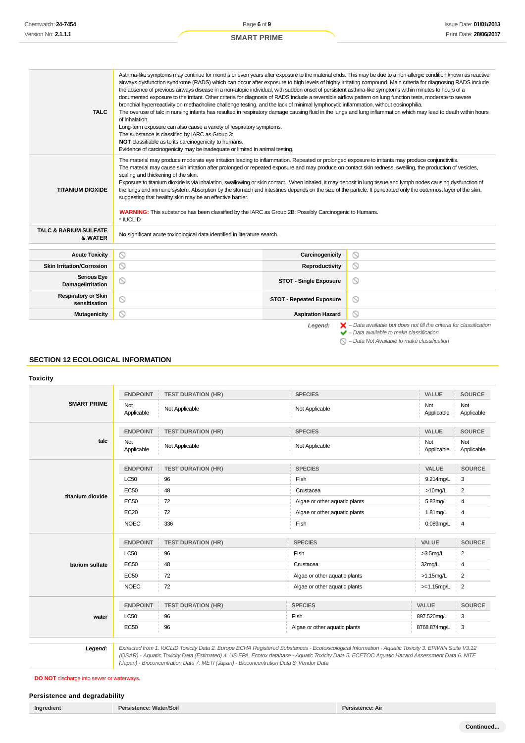| <b>TALC</b>                                                                                                                                                          | Asthma-like symptoms may continue for months or even years after exposure to the material ends. This may be due to a non-allergic condition known as reactive<br>airways dysfunction syndrome (RADS) which can occur after exposure to high levels of highly irritating compound. Main criteria for diagnosing RADS include<br>the absence of previous airways disease in a non-atopic individual, with sudden onset of persistent asthma-like symptoms within minutes to hours of a<br>documented exposure to the irritant. Other criteria for diagnosis of RADS include a reversible airflow pattern on lung function tests, moderate to severe<br>bronchial hyperreactivity on methacholine challenge testing, and the lack of minimal lymphocytic inflammation, without eosinophilia.<br>The overuse of talc in nursing infants has resulted in respiratory damage causing fluid in the lungs and lung inflammation which may lead to death within hours<br>of inhalation.<br>Long-term exposure can also cause a variety of respiratory symptoms.<br>The substance is classified by IARC as Group 3:<br>NOT classifiable as to its carcinogenicity to humans.<br>Evidence of carcinogenicity may be inadequate or limited in animal testing. |                                 |         |  |  |
|----------------------------------------------------------------------------------------------------------------------------------------------------------------------|---------------------------------------------------------------------------------------------------------------------------------------------------------------------------------------------------------------------------------------------------------------------------------------------------------------------------------------------------------------------------------------------------------------------------------------------------------------------------------------------------------------------------------------------------------------------------------------------------------------------------------------------------------------------------------------------------------------------------------------------------------------------------------------------------------------------------------------------------------------------------------------------------------------------------------------------------------------------------------------------------------------------------------------------------------------------------------------------------------------------------------------------------------------------------------------------------------------------------------------------------|---------------------------------|---------|--|--|
| <b>TITANIUM DIOXIDE</b>                                                                                                                                              | The material may produce moderate eye irritation leading to inflammation. Repeated or prolonged exposure to irritants may produce conjunctivitis.<br>The material may cause skin irritation after prolonged or repeated exposure and may produce on contact skin redness, swelling, the production of vesicles,<br>scaling and thickening of the skin.<br>Exposure to titanium dioxide is via inhalation, swallowing or skin contact. When inhaled, it may deposit in lung tissue and lymph nodes causing dysfunction of<br>the lungs and immune system. Absorption by the stomach and intestines depends on the size of the particle. It penetrated only the outermost layer of the skin,<br>suggesting that healthy skin may be an effective barrier.<br>WARNING: This substance has been classified by the IARC as Group 2B: Possibly Carcinogenic to Humans.<br>* IUCLID                                                                                                                                                                                                                                                                                                                                                                      |                                 |         |  |  |
| <b>TALC &amp; BARIUM SULFATE</b><br>& WATER                                                                                                                          | No significant acute toxicological data identified in literature search.                                                                                                                                                                                                                                                                                                                                                                                                                                                                                                                                                                                                                                                                                                                                                                                                                                                                                                                                                                                                                                                                                                                                                                          |                                 |         |  |  |
| <b>Acute Toxicity</b>                                                                                                                                                | ◎                                                                                                                                                                                                                                                                                                                                                                                                                                                                                                                                                                                                                                                                                                                                                                                                                                                                                                                                                                                                                                                                                                                                                                                                                                                 | Carcinogenicity                 | O       |  |  |
| <b>Skin Irritation/Corrosion</b>                                                                                                                                     | ⊙                                                                                                                                                                                                                                                                                                                                                                                                                                                                                                                                                                                                                                                                                                                                                                                                                                                                                                                                                                                                                                                                                                                                                                                                                                                 | Reproductivity                  | ◎       |  |  |
| <b>Serious Eye</b><br>Damage/Irritation                                                                                                                              | $\circledcirc$                                                                                                                                                                                                                                                                                                                                                                                                                                                                                                                                                                                                                                                                                                                                                                                                                                                                                                                                                                                                                                                                                                                                                                                                                                    | <b>STOT - Single Exposure</b>   | ◎       |  |  |
| <b>Respiratory or Skin</b><br>sensitisation                                                                                                                          | 0                                                                                                                                                                                                                                                                                                                                                                                                                                                                                                                                                                                                                                                                                                                                                                                                                                                                                                                                                                                                                                                                                                                                                                                                                                                 | <b>STOT - Repeated Exposure</b> | O       |  |  |
| <b>Mutagenicity</b>                                                                                                                                                  | ⊚                                                                                                                                                                                                                                                                                                                                                                                                                                                                                                                                                                                                                                                                                                                                                                                                                                                                                                                                                                                                                                                                                                                                                                                                                                                 | <b>Aspiration Hazard</b>        | $\odot$ |  |  |
| $\blacktriangleright$ - Data available but does not fill the criteria for classification<br>Legend:<br>$\blacktriangleright$ - Data available to make classification |                                                                                                                                                                                                                                                                                                                                                                                                                                                                                                                                                                                                                                                                                                                                                                                                                                                                                                                                                                                                                                                                                                                                                                                                                                                   |                                 |         |  |  |

 $\bigcirc$  – Data Not Available to make classification

## **SECTION 12 ECOLOGICAL INFORMATION**

#### **Toxicity**

| <b>SMART PRIME</b> | <b>ENDPOINT</b>   | <b>TEST DURATION (HR)</b> | <b>SPECIES</b>                | <b>VALUE</b>      | <b>SOURCE</b>     |
|--------------------|-------------------|---------------------------|-------------------------------|-------------------|-------------------|
|                    | Not<br>Applicable | Not Applicable            | Not Applicable                | Not<br>Applicable | Not<br>Applicable |
|                    | <b>ENDPOINT</b>   | <b>TEST DURATION (HR)</b> | <b>SPECIES</b>                | <b>VALUE</b>      | <b>SOURCE</b>     |
| talc               | Not<br>Applicable | Not Applicable            | Not Applicable                | Not<br>Applicable | Not<br>Applicable |
|                    | <b>ENDPOINT</b>   | <b>TEST DURATION (HR)</b> | <b>SPECIES</b>                | VALUE             | <b>SOURCE</b>     |
|                    | <b>LC50</b>       | 96                        | Fish                          | 9.214mg/L         | 3                 |
|                    | <b>EC50</b>       | 48                        | Crustacea                     | $>10$ mg/L        | 2                 |
| titanium dioxide   | <b>EC50</b>       | 72                        | Algae or other aquatic plants | 5.83mg/L          | 4                 |
|                    | <b>EC20</b>       | 72                        | Algae or other aquatic plants | 1.81mg/L          | 4                 |
|                    | <b>NOEC</b>       | 336                       | Fish                          | 0.089mg/L         | 4                 |
|                    | <b>ENDPOINT</b>   | <b>TEST DURATION (HR)</b> | <b>SPECIES</b>                | VALUE             | <b>SOURCE</b>     |
|                    | <b>LC50</b>       | 96                        | Fish                          | $>3.5$ mg/L       | $\overline{2}$    |
| barium sulfate     | <b>EC50</b>       | 48                        | Crustacea                     | 32mg/L            | 4                 |
|                    | <b>EC50</b>       | 72                        | Algae or other aquatic plants | $>1.15$ mg/L      | $\overline{2}$    |
|                    | <b>NOEC</b>       | 72                        | Algae or other aquatic plants | $>=1.15mg/L$      | $\overline{2}$    |
|                    | <b>ENDPOINT</b>   | <b>TEST DURATION (HR)</b> | <b>SPECIES</b>                | <b>VALUE</b>      | <b>SOURCE</b>     |
| water              | <b>LC50</b>       | 96                        | Fish                          | 897.520mg/L       | 3                 |
|                    | <b>EC50</b>       | 96                        | Algae or other aquatic plants | 8768.874mg/L      | 3                 |

(QSAR) - Aquatic Toxicity Data (Estimated) 4. US EPA, Ecotox database - Aquatic Toxicity Data 5. ECETOC Aquatic Hazard Assessment Data 6. NITE (Japan) - Bioconcentration Data 7. METI (Japan) - Bioconcentration Data 8. Vendor Data

**DO NOT** discharge into sewer or waterways.

## **Persistence and degradability**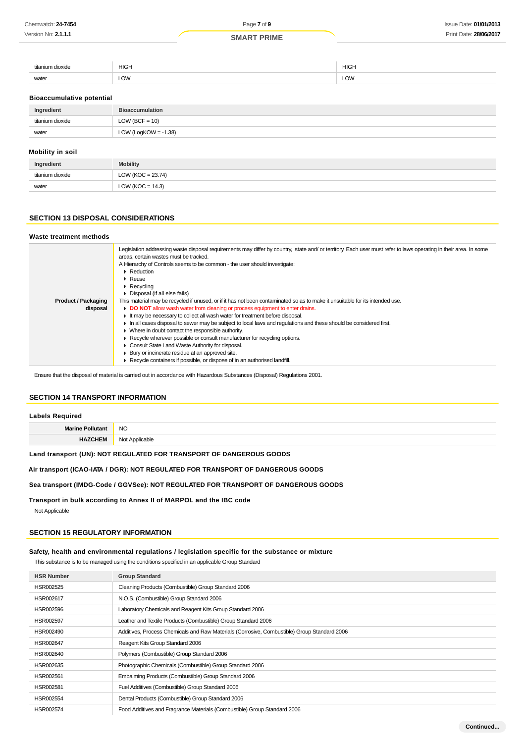#### **SMART PRIME**

| titanium<br><b>DIOVIO</b><br>ינור | <b>HIGH</b>    | <b>HIGH</b><br>$\sim$ |
|-----------------------------------|----------------|-----------------------|
| the control of the con-<br>water  | $\sim$<br>∟∪vv | LOW                   |

#### **Bioaccumulative potential**

| Ingredient              | <b>Bioaccumulation</b>  |
|-------------------------|-------------------------|
| titanium dioxide        | $LOW (BCF = 10)$        |
| water                   | LOW (LogKOW = $-1.38$ ) |
| <b>Mobility in soil</b> |                         |

| Ingredient       | <b>Mobility</b>       |
|------------------|-----------------------|
| titanium dioxide | LOW ( $KOC = 23.74$ ) |
| water            | LOW ( $KOC = 14.3$ )  |

## **SECTION 13 DISPOSAL CONSIDERATIONS**

#### **Waste treatment methods**

|                            | Legislation addressing waste disposal requirements may differ by country, state and/ or territory. Each user must refer to laws operating in their area. In some |  |  |
|----------------------------|------------------------------------------------------------------------------------------------------------------------------------------------------------------|--|--|
|                            | areas, certain wastes must be tracked.                                                                                                                           |  |  |
|                            | A Hierarchy of Controls seems to be common - the user should investigate:                                                                                        |  |  |
|                            | $\triangleright$ Reduction                                                                                                                                       |  |  |
|                            | $\blacktriangleright$ Reuse                                                                                                                                      |  |  |
|                            | $\triangleright$ Recycling                                                                                                                                       |  |  |
|                            | • Disposal (if all else fails)                                                                                                                                   |  |  |
| <b>Product / Packaging</b> | This material may be recycled if unused, or if it has not been contaminated so as to make it unsuitable for its intended use.                                    |  |  |
| disposal                   | DO NOT allow wash water from cleaning or process equipment to enter drains.                                                                                      |  |  |
|                            | It may be necessary to collect all wash water for treatment before disposal.                                                                                     |  |  |
|                            | In all cases disposal to sewer may be subject to local laws and requlations and these should be considered first.                                                |  |  |
|                            | • Where in doubt contact the responsible authority.                                                                                                              |  |  |
|                            | ► Recycle wherever possible or consult manufacturer for recycling options.                                                                                       |  |  |
|                            | Consult State Land Waste Authority for disposal.                                                                                                                 |  |  |
|                            | ▶ Bury or incinerate residue at an approved site.                                                                                                                |  |  |
|                            | ▶ Recycle containers if possible, or dispose of in an authorised landfill.                                                                                       |  |  |
|                            |                                                                                                                                                                  |  |  |

Ensure that the disposal of material is carried out in accordance with Hazardous Substances (Disposal) Regulations 2001.

## **SECTION 14 TRANSPORT INFORMATION**

## **Labels Required Marine Pollutant** NO **HAZCHEM** Not Applicable

## **Land transport (UN): NOT REGULATED FOR TRANSPORT OF DANGEROUS GOODS**

## **Air transport (ICAO-IATA / DGR): NOT REGULATED FOR TRANSPORT OF DANGEROUS GOODS**

#### **Sea transport (IMDG-Code / GGVSee): NOT REGULATED FOR TRANSPORT OF DANGEROUS GOODS**

**Transport in bulk according to Annex II of MARPOL and the IBC code**

Not Applicable

#### **SECTION 15 REGULATORY INFORMATION**

#### **Safety, health and environmental regulations / legislation specific for the substance or mixture**

This substance is to be managed using the conditions specified in an applicable Group Standard

| <b>HSR Number</b> | <b>Group Standard</b>                                                                       |
|-------------------|---------------------------------------------------------------------------------------------|
| HSR002525         | Cleaning Products (Combustible) Group Standard 2006                                         |
| HSR002617         | N.O.S. (Combustible) Group Standard 2006                                                    |
| HSR002596         | Laboratory Chemicals and Reagent Kits Group Standard 2006                                   |
| <b>HSR002597</b>  | Leather and Textile Products (Combustible) Group Standard 2006                              |
| HSR002490         | Additives, Process Chemicals and Raw Materials (Corrosive, Combustible) Group Standard 2006 |
| HSR002647         | Reagent Kits Group Standard 2006                                                            |
| HSR002640         | Polymers (Combustible) Group Standard 2006                                                  |
| HSR002635         | Photographic Chemicals (Combustible) Group Standard 2006                                    |
| HSR002561         | Embalming Products (Combustible) Group Standard 2006                                        |
| HSR002581         | Fuel Additives (Combustible) Group Standard 2006                                            |
| HSR002554         | Dental Products (Combustible) Group Standard 2006                                           |
| HSR002574         | Food Additives and Fragrance Materials (Combustible) Group Standard 2006                    |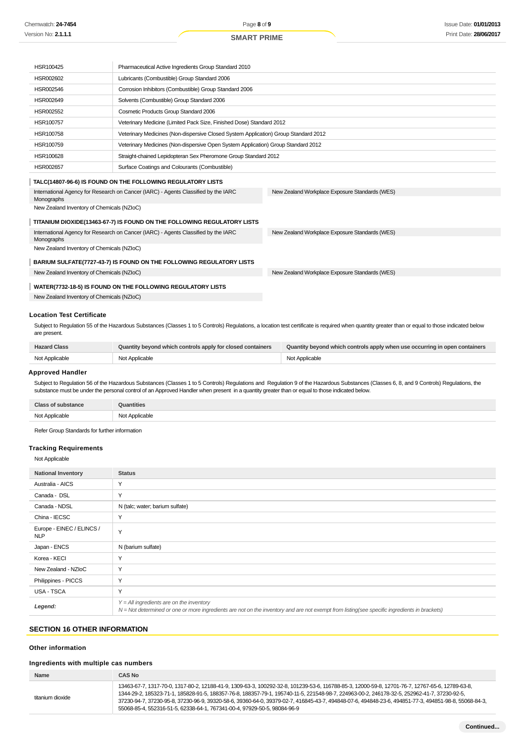| HSR100425                                                                                                                                                                                                        | Pharmaceutical Active Ingredients Group Standard 2010                               |                                                                      |  |
|------------------------------------------------------------------------------------------------------------------------------------------------------------------------------------------------------------------|-------------------------------------------------------------------------------------|----------------------------------------------------------------------|--|
| HSR002602                                                                                                                                                                                                        | Lubricants (Combustible) Group Standard 2006                                        |                                                                      |  |
| HSR002546                                                                                                                                                                                                        | Corrosion Inhibitors (Combustible) Group Standard 2006                              |                                                                      |  |
| HSR002649                                                                                                                                                                                                        | Solvents (Combustible) Group Standard 2006                                          |                                                                      |  |
| <b>HSR002552</b>                                                                                                                                                                                                 | Cosmetic Products Group Standard 2006                                               |                                                                      |  |
| HSR100757                                                                                                                                                                                                        |                                                                                     | Veterinary Medicine (Limited Pack Size, Finished Dose) Standard 2012 |  |
| HSR100758                                                                                                                                                                                                        | Veterinary Medicines (Non-dispersive Closed System Application) Group Standard 2012 |                                                                      |  |
| HSR100759                                                                                                                                                                                                        | Veterinary Medicines (Non-dispersive Open System Application) Group Standard 2012   |                                                                      |  |
| HSR100628                                                                                                                                                                                                        | Straight-chained Lepidopteran Sex Pheromone Group Standard 2012                     |                                                                      |  |
| <b>HSR002657</b>                                                                                                                                                                                                 | Surface Coatings and Colourants (Combustible)                                       |                                                                      |  |
|                                                                                                                                                                                                                  | TALC(14807-96-6) IS FOUND ON THE FOLLOWING REGULATORY LISTS                         |                                                                      |  |
| International Agency for Research on Cancer (IARC) - Agents Classified by the IARC<br>New Zealand Workplace Exposure Standards (WES)<br>Monographs                                                               |                                                                                     |                                                                      |  |
| New Zealand Inventory of Chemicals (NZIoC)                                                                                                                                                                       |                                                                                     |                                                                      |  |
|                                                                                                                                                                                                                  | TITANIUM DIOXIDE(13463-67-7) IS FOUND ON THE FOLLOWING REGULATORY LISTS             |                                                                      |  |
| International Agency for Research on Cancer (IARC) - Agents Classified by the IARC<br>Monographs                                                                                                                 |                                                                                     | New Zealand Workplace Exposure Standards (WES)                       |  |
| New Zealand Inventory of Chemicals (NZIoC)                                                                                                                                                                       |                                                                                     |                                                                      |  |
|                                                                                                                                                                                                                  | BARIUM SULFATE(7727-43-7) IS FOUND ON THE FOLLOWING REGULATORY LISTS                |                                                                      |  |
| New Zealand Inventory of Chemicals (NZIoC)                                                                                                                                                                       |                                                                                     | New Zealand Workplace Exposure Standards (WES)                       |  |
| WATER(7732-18-5) IS FOUND ON THE FOLLOWING REGULATORY LISTS                                                                                                                                                      |                                                                                     |                                                                      |  |
| New Zealand Inventory of Chemicals (NZIoC)                                                                                                                                                                       |                                                                                     |                                                                      |  |
|                                                                                                                                                                                                                  |                                                                                     |                                                                      |  |
| <b>Location Test Certificate</b>                                                                                                                                                                                 |                                                                                     |                                                                      |  |
| Subject to Regulation 55 of the Hazardous Substances (Classes 1 to 5 Controls) Regulations, a location test certificate is required when quantity greater than or equal to those indicated below<br>are present. |                                                                                     |                                                                      |  |

| <b>Hazard Class</b> | Quantity beyond which controls apply for closed containers | Quantity beyond which controls apply when use occurring in open containers |
|---------------------|------------------------------------------------------------|----------------------------------------------------------------------------|
| Not Applicable      | Not Applicable                                             | Not Applicable                                                             |

#### **Approved Handler**

Subject to Regulation 56 of the Hazardous Substances (Classes 1 to 5 Controls) Regulations and Regulation 9 of the Hazardous Substances (Classes 6, 8, and 9 Controls) Regulations, the substance must be under the personal control of an Approved Handler when present in a quantity greater than or equal to those indicated below.

| <b>Class of substance</b> | Quantities     |
|---------------------------|----------------|
| Not Applicable<br>"~~~~   | Not Applicable |

Refer Group Standards for further information

## **Tracking Requirements**

#### Not Applicable

| <b>National Inventory</b>               | <b>Status</b>                                                                                                                                                                              |
|-----------------------------------------|--------------------------------------------------------------------------------------------------------------------------------------------------------------------------------------------|
| Australia - AICS                        | Y                                                                                                                                                                                          |
| Canada - DSL                            | Y                                                                                                                                                                                          |
| Canada - NDSL                           | N (talc; water; barium sulfate)                                                                                                                                                            |
| China - IECSC                           | Y                                                                                                                                                                                          |
| Europe - EINEC / ELINCS /<br><b>NLP</b> | Y                                                                                                                                                                                          |
| Japan - ENCS                            | N (barium sulfate)                                                                                                                                                                         |
| Korea - KECI                            | Y                                                                                                                                                                                          |
| New Zealand - NZIoC                     | Y                                                                                                                                                                                          |
| Philippines - PICCS                     | Y                                                                                                                                                                                          |
| <b>USA - TSCA</b>                       | Y                                                                                                                                                                                          |
| Legend:                                 | $Y = All$ ingredients are on the inventory<br>N = Not determined or one or more ingredients are not on the inventory and are not exempt from listing(see specific ingredients in brackets) |

## **SECTION 16 OTHER INFORMATION**

### **Other information**

#### **Ingredients with multiple cas numbers**

| Name             | <b>CAS No</b>                                                                                                                                                                                                                                                                                                                                                                                                                                                                                                                      |
|------------------|------------------------------------------------------------------------------------------------------------------------------------------------------------------------------------------------------------------------------------------------------------------------------------------------------------------------------------------------------------------------------------------------------------------------------------------------------------------------------------------------------------------------------------|
| titanium dioxide | 13463-67-7, 1317-70-0, 1317-80-2, 12188-41-9, 1309-63-3, 100292-32-8, 101239-53-6, 116788-85-3, 12000-59-8, 12701-76-7, 12767-65-6, 12789-63-8,<br>1344-29-2, 185323-71-1, 185828-91-5, 188357-76-8, 188357-79-1, 195740-11-5, 221548-98-7, 224963-00-2, 246178-32-5, 252962-41-7, 37230-92-5,<br>37230-94-7, 37230-95-8, 37230-96-9, 39320-58-6, 39360-64-0, 39379-02-7, 416845-43-7, 494848-07-6, 494848-23-6, 494851-77-3, 494851-98-8, 55068-84-3,<br>55068-85-4, 552316-51-5, 62338-64-1, 767341-00-4, 97929-50-5, 98084-96-9 |